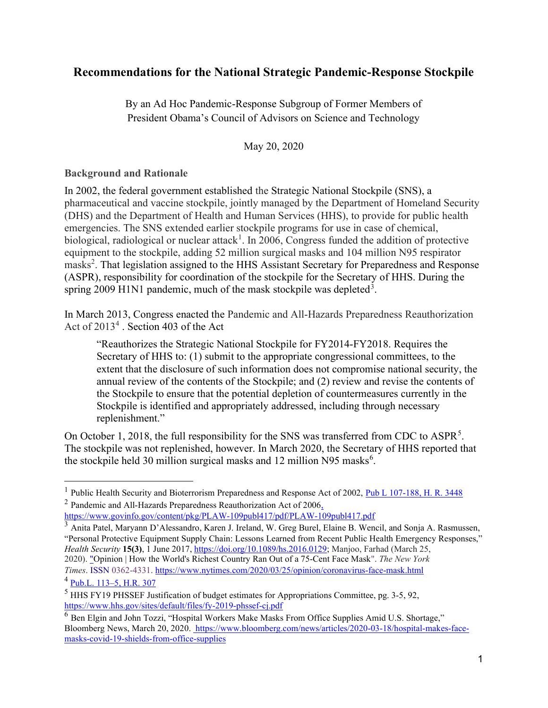# Recommendations for the National Strategic Pandemic-Response Stockpile

By an Ad Hoc Pandemic-Response Subgroup of Former Members of President Obama's Council of Advisors on Science and Technology

May 20, 2020

#### Background and Rationale

In 2002, the federal government established the Strategic National Stockpile (SNS), a pharmaceutical and vaccine stockpile, jointly managed by the Department of Homeland Security (DHS) and the Department of Health and Human Services (HHS), to provide for public health emergencies. The SNS extended earlier stockpile programs for use in case of chemical, biological, radiological or nuclear attack<sup>1</sup>. In 2006, Congress funded the addition of protective equipment to the stockpile, adding 52 million surgical masks and 104 million N95 respirator masks<sup>2</sup>. That legislation assigned to the HHS Assistant Secretary for Preparedness and Response (ASPR), responsibility for coordination of the stockpile for the Secretary of HHS. During the spring 2009 H1N1 pandemic, much of the mask stockpile was depleted<sup>3</sup>.

In March 2013, Congress enacted the Pandemic and All-Hazards Preparedness Reauthorization Act of  $2013<sup>4</sup>$ . Section 403 of the Act

"Reauthorizes the Strategic National Stockpile for FY2014-FY2018. Requires the Secretary of HHS to: (1) submit to the appropriate congressional committees, to the extent that the disclosure of such information does not compromise national security, the annual review of the contents of the Stockpile; and (2) review and revise the contents of the Stockpile to ensure that the potential depletion of countermeasures currently in the Stockpile is identified and appropriately addressed, including through necessary replenishment."

On October 1, 2018, the full responsibility for the SNS was transferred from CDC to ASPR<sup>5</sup>. The stockpile was not replenished, however. In March 2020, the Secretary of HHS reported that the stockpile held 30 million surgical masks and 12 million N95 masks<sup>6</sup>.

<sup>1</sup> Public Health Security and Bioterrorism Preparedness and Response Act of 2002, Pub L 107-188, H. R. 3448 <sup>2</sup> Pandemic and All-Hazards Preparedness Reauthorization Act of 2006,

https://www.govinfo.gov/content/pkg/PLAW-109publ417/pdf/PLAW-109publ417.pdf

<sup>&</sup>lt;sup>3</sup> Anita Patel, Maryann D'Alessandro, Karen J. Ireland, W. Greg Burel, Elaine B. Wencil, and Sonja A. Rasmussen, "Personal Protective Equipment Supply Chain: Lessons Learned from Recent Public Health Emergency Responses," Health Security 15(3), 1 June 2017, https://doi.org/10.1089/hs.2016.0129; Manjoo, Farhad (March 25, 2020). "Opinion | How the World's Richest Country Ran Out of a 75-Cent Face Mask". The New York Times. ISSN 0362-4331. https://www.nytimes.com/2020/03/25/opinion/coronavirus-face-mask.html

 $^{4}$  Pub.L. 113–5, H.R. 307

 $<sup>5</sup>$  HHS FY19 PHSSEF Justification of budget estimates for Appropriations Committee, pg. 3-5, 92,</sup> https://www.hhs.gov/sites/default/files/fy-2019-phssef-cj.pdf

 $6$  Ben Elgin and John Tozzi, "Hospital Workers Make Masks From Office Supplies Amid U.S. Shortage," Bloomberg News, March 20, 2020. https://www.bloomberg.com/news/articles/2020-03-18/hospital-makes-facemasks-covid-19-shields-from-office-supplies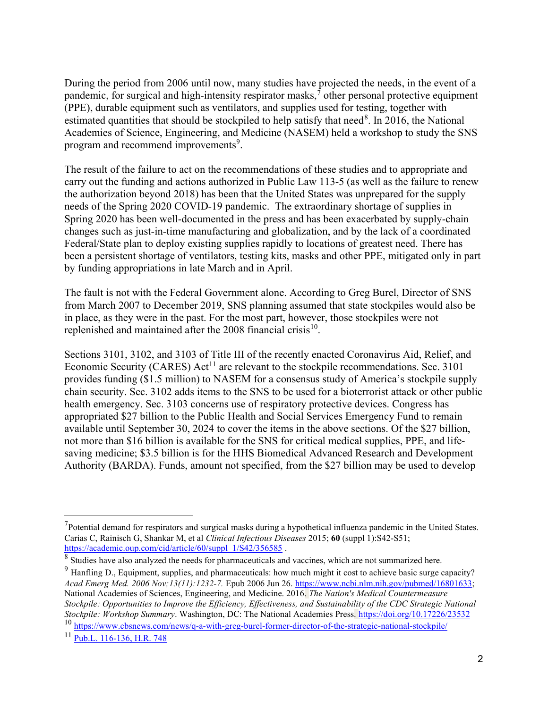During the period from 2006 until now, many studies have projected the needs, in the event of a pandemic, for surgical and high-intensity respirator masks,  $\bar{j}$  other personal protective equipment (PPE), durable equipment such as ventilators, and supplies used for testing, together with estimated quantities that should be stockpiled to help satisfy that need<sup>8</sup>. In 2016, the National Academies of Science, Engineering, and Medicine (NASEM) held a workshop to study the SNS program and recommend improvements<sup>9</sup>.

The result of the failure to act on the recommendations of these studies and to appropriate and carry out the funding and actions authorized in Public Law 113-5 (as well as the failure to renew the authorization beyond 2018) has been that the United States was unprepared for the supply needs of the Spring 2020 COVID-19 pandemic. The extraordinary shortage of supplies in Spring 2020 has been well-documented in the press and has been exacerbated by supply-chain changes such as just-in-time manufacturing and globalization, and by the lack of a coordinated Federal/State plan to deploy existing supplies rapidly to locations of greatest need. There has been a persistent shortage of ventilators, testing kits, masks and other PPE, mitigated only in part by funding appropriations in late March and in April.

The fault is not with the Federal Government alone. According to Greg Burel, Director of SNS from March 2007 to December 2019, SNS planning assumed that state stockpiles would also be in place, as they were in the past. For the most part, however, those stockpiles were not replenished and maintained after the 2008 financial crisis  $10$ .

Sections 3101, 3102, and 3103 of Title III of the recently enacted Coronavirus Aid, Relief, and Economic Security (CARES)  $Act^{11}$  are relevant to the stockpile recommendations. Sec. 3101 provides funding (\$1.5 million) to NASEM for a consensus study of America's stockpile supply chain security. Sec. 3102 adds items to the SNS to be used for a bioterrorist attack or other public health emergency. Sec. 3103 concerns use of respiratory protective devices. Congress has appropriated \$27 billion to the Public Health and Social Services Emergency Fund to remain available until September 30, 2024 to cover the items in the above sections. Of the \$27 billion, not more than \$16 billion is available for the SNS for critical medical supplies, PPE, and lifesaving medicine; \$3.5 billion is for the HHS Biomedical Advanced Research and Development Authority (BARDA). Funds, amount not specified, from the \$27 billion may be used to develop

 $<sup>7</sup>$ Potential demand for respirators and surgical masks during a hypothetical influenza pandemic in the United States.</sup> Carias C, Rainisch G, Shankar M, et al Clinical Infectious Diseases 2015; 60 (suppl 1):S42-S51; https://academic.oup.com/cid/article/60/suppl\_1/S42/356585.

 $8$  Studies have also analyzed the needs for pharmaceuticals and vaccines, which are not summarized here.

<sup>&</sup>lt;sup>9</sup> Hanfling D., Equipment, supplies, and pharmaceuticals: how much might it cost to achieve basic surge capacity? Acad Emerg Med. 2006 Nov;13(11):1232-7. Epub 2006 Jun 26. https://www.ncbi.nlm.nih.gov/pubmed/16801633; National Academies of Sciences, Engineering, and Medicine. 2016. The Nation's Medical Countermeasure Stockpile: Opportunities to Improve the Efficiency, Effectiveness, and Sustainability of the CDC Strategic National Stockpile: Workshop Summary. Washington, DC: The National Academies Press. https://doi.org/10.17226/23532

<sup>10</sup> https://www.cbsnews.com/news/q-a-with-greg-burel-former-director-of-the-strategic-national-stockpile/

<sup>11</sup> Pub.L. 116-136, H.R. 748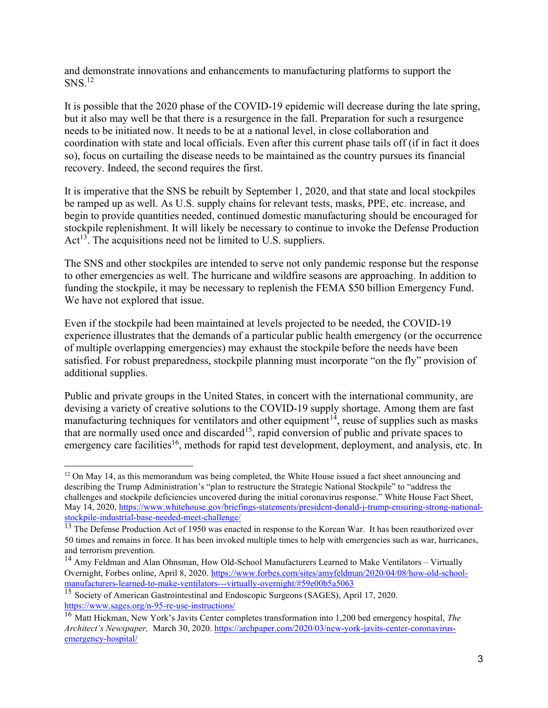and demonstrate innovations and enhancements to manufacturing platforms to support the  $S<sup>12</sup>$ 

It is possible that the 2020 phase of the COVID-19 epidemic will decrease during the late spring, but it also may well be that there is a resurgence in the fall. Preparation for such a resurgence needs to be initiated now. It needs to be at a national level, in close collaboration and coordination with state and local officials. Even after this current phase tails off (if in fact it does so), focus on curtailing the disease needs to be maintained as the country pursues its financial recovery. Indeed, the second requires the first.

It is imperative that the SNS be rebuilt by September 1, 2020, and that state and local stockpiles be ramped up as well. As U.S. supply chains for relevant tests, masks, PPE, etc. increase, and begin to provide quantities needed, continued domestic manufacturing should be encouraged for stockpile replenishment. It will likely be necessary to continue to invoke the Defense Production Act<sup>13</sup>. The acquisitions need not be limited to U.S. suppliers.

The SNS and other stockpiles are intended to serve not only pandemic response but the response to other emergencies as well. The hurricane and wildfire seasons are approaching. In addition to funding the stockpile, it may be necessary to replenish the FEMA \$50 billion Emergency Fund. We have not explored that issue.

Even if the stockpile had been maintained at levels projected to be needed, the COVID-19 experience illustrates that the demands of a particular public health emergency (or the occurrence of multiple overlapping emergencies) may exhaust the stockpile before the needs have been satisfied. For robust preparedness, stockpile planning must incorporate "on the fly" provision of additional supplies.

Public and private groups in the United States, in concert with the international community, are devising a variety of creative solutions to the COVID-19 supply shortage. Among them are fast manufacturing techniques for ventilators and other equipment<sup>14</sup>, reuse of supplies such as masks that are normally used once and discarded<sup>15</sup>, rapid conversion of public and private spaces to emergency care facilities<sup>16</sup>, methods for rapid test development, deployment, and analysis, etc. In

 $12$  On May 14, as this memorandum was being completed, the White House issued a fact sheet announcing and describing the Trump Administration's "plan to restructure the Strategic National Stockpile" to "address the challenges and stockpile deficiencies uncovered during the initial coronavirus response." White House Fact Sheet, May 14, 2020, https://www.whitehouse.gov/briefings-statements/president-donald-j-trump-ensuring-strong-nationalstockpile-industrial-base-needed-meet-challenge/

<sup>&</sup>lt;sup>13</sup> The Defense Production Act of 1950 was enacted in response to the Korean War. It has been reauthorized over 50 times and remains in force. It has been invoked multiple times to help with emergencies such as war, hurricanes, and terrorism prevention.

<sup>&</sup>lt;sup>14</sup> Amy Feldman and Alan Ohnsman, How Old-School Manufacturers Learned to Make Ventilators – Virtually Overnight, Forbes online, April 8, 2020. https://www.forbes.com/sites/amyfeldman/2020/04/08/how-old-schoolmanufacturers-learned-to-make-ventilators---virtually-overnight/#59e00b5a5063

<sup>15</sup> Society of American Gastrointestinal and Endoscopic Surgeons (SAGES), April 17, 2020. https://www.sages.org/n-95-re-use-instructions/

<sup>&</sup>lt;sup>16</sup> Matt Hickman, New York's Javits Center completes transformation into 1,200 bed emergency hospital, *The* Architect's Newspaper, March 30, 2020. https://archpaper.com/2020/03/new-york-javits-center-coronavirusemergency-hospital/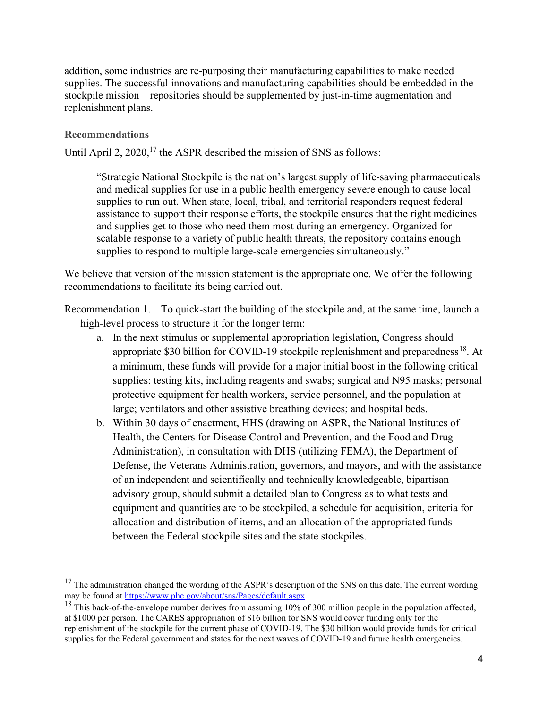addition, some industries are re-purposing their manufacturing capabilities to make needed supplies. The successful innovations and manufacturing capabilities should be embedded in the stockpile mission – repositories should be supplemented by just-in-time augmentation and replenishment plans.

### Recommendations

Until April 2,  $2020$ ,<sup>17</sup> the ASPR described the mission of SNS as follows:

"Strategic National Stockpile is the nation's largest supply of life-saving pharmaceuticals and medical supplies for use in a public health emergency severe enough to cause local supplies to run out. When state, local, tribal, and territorial responders request federal assistance to support their response efforts, the stockpile ensures that the right medicines and supplies get to those who need them most during an emergency. Organized for scalable response to a variety of public health threats, the repository contains enough supplies to respond to multiple large-scale emergencies simultaneously."

We believe that version of the mission statement is the appropriate one. We offer the following recommendations to facilitate its being carried out.

Recommendation 1. To quick-start the building of the stockpile and, at the same time, launch a high-level process to structure it for the longer term:

- a. In the next stimulus or supplemental appropriation legislation, Congress should appropriate \$30 billion for COVID-19 stockpile replenishment and preparedness<sup>18</sup>. At a minimum, these funds will provide for a major initial boost in the following critical supplies: testing kits, including reagents and swabs; surgical and N95 masks; personal protective equipment for health workers, service personnel, and the population at large; ventilators and other assistive breathing devices; and hospital beds.
- b. Within 30 days of enactment, HHS (drawing on ASPR, the National Institutes of Health, the Centers for Disease Control and Prevention, and the Food and Drug Administration), in consultation with DHS (utilizing FEMA), the Department of Defense, the Veterans Administration, governors, and mayors, and with the assistance of an independent and scientifically and technically knowledgeable, bipartisan advisory group, should submit a detailed plan to Congress as to what tests and equipment and quantities are to be stockpiled, a schedule for acquisition, criteria for allocation and distribution of items, and an allocation of the appropriated funds between the Federal stockpile sites and the state stockpiles.

 $17$  The administration changed the wording of the ASPR's description of the SNS on this date. The current wording may be found at https://www.phe.gov/about/sns/Pages/default.aspx

<sup>&</sup>lt;sup>18</sup> This back-of-the-envelope number derives from assuming  $10\%$  of 300 million people in the population affected, at \$1000 per person. The CARES appropriation of \$16 billion for SNS would cover funding only for the replenishment of the stockpile for the current phase of COVID-19. The \$30 billion would provide funds for critical supplies for the Federal government and states for the next waves of COVID-19 and future health emergencies.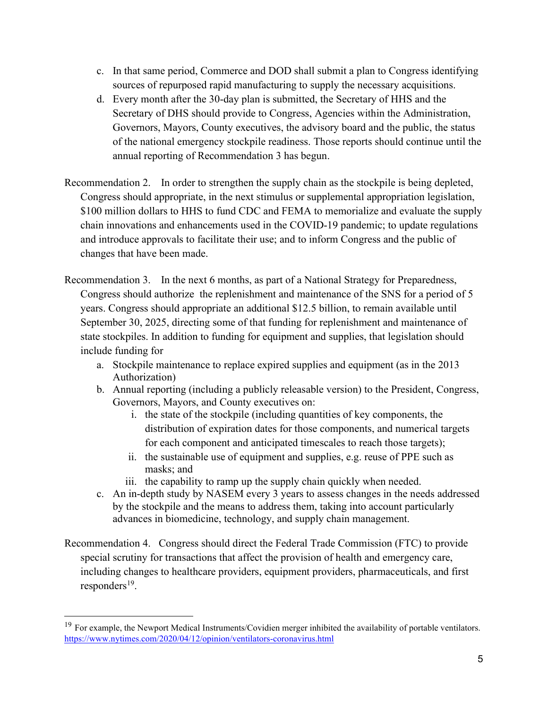- c. In that same period, Commerce and DOD shall submit a plan to Congress identifying sources of repurposed rapid manufacturing to supply the necessary acquisitions.
- d. Every month after the 30-day plan is submitted, the Secretary of HHS and the Secretary of DHS should provide to Congress, Agencies within the Administration, Governors, Mayors, County executives, the advisory board and the public, the status of the national emergency stockpile readiness. Those reports should continue until the annual reporting of Recommendation 3 has begun.
- Recommendation 2. In order to strengthen the supply chain as the stockpile is being depleted, Congress should appropriate, in the next stimulus or supplemental appropriation legislation, \$100 million dollars to HHS to fund CDC and FEMA to memorialize and evaluate the supply chain innovations and enhancements used in the COVID-19 pandemic; to update regulations and introduce approvals to facilitate their use; and to inform Congress and the public of changes that have been made.
- Recommendation 3. In the next 6 months, as part of a National Strategy for Preparedness, Congress should authorize the replenishment and maintenance of the SNS for a period of 5 years. Congress should appropriate an additional \$12.5 billion, to remain available until September 30, 2025, directing some of that funding for replenishment and maintenance of state stockpiles. In addition to funding for equipment and supplies, that legislation should include funding for
	- a. Stockpile maintenance to replace expired supplies and equipment (as in the 2013 Authorization)
	- b. Annual reporting (including a publicly releasable version) to the President, Congress, Governors, Mayors, and County executives on:
		- i. the state of the stockpile (including quantities of key components, the distribution of expiration dates for those components, and numerical targets for each component and anticipated timescales to reach those targets);
		- ii. the sustainable use of equipment and supplies, e.g. reuse of PPE such as masks; and
		- iii. the capability to ramp up the supply chain quickly when needed.
	- c. An in-depth study by NASEM every 3 years to assess changes in the needs addressed by the stockpile and the means to address them, taking into account particularly advances in biomedicine, technology, and supply chain management.
- Recommendation 4. Congress should direct the Federal Trade Commission (FTC) to provide special scrutiny for transactions that affect the provision of health and emergency care, including changes to healthcare providers, equipment providers, pharmaceuticals, and first responders<sup>19</sup>.

<sup>&</sup>lt;sup>19</sup> For example, the Newport Medical Instruments/Covidien merger inhibited the availability of portable ventilators. https://www.nytimes.com/2020/04/12/opinion/ventilators-coronavirus.html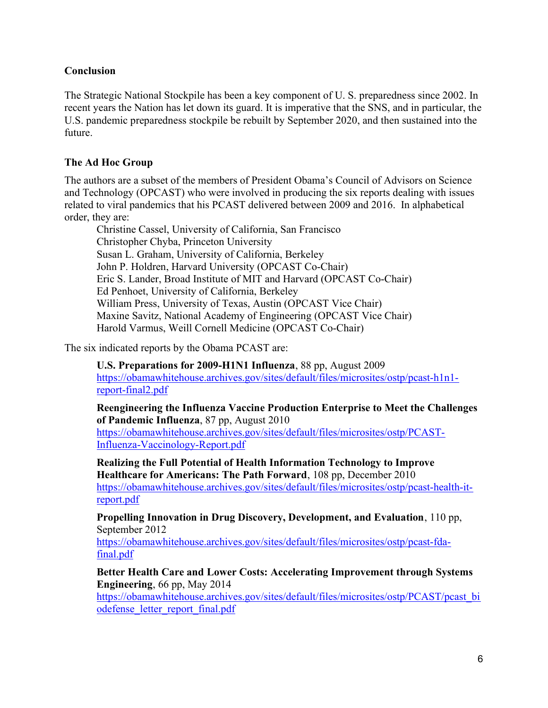## Conclusion

The Strategic National Stockpile has been a key component of U. S. preparedness since 2002. In recent years the Nation has let down its guard. It is imperative that the SNS, and in particular, the U.S. pandemic preparedness stockpile be rebuilt by September 2020, and then sustained into the future.

## The Ad Hoc Group

The authors are a subset of the members of President Obama's Council of Advisors on Science and Technology (OPCAST) who were involved in producing the six reports dealing with issues related to viral pandemics that his PCAST delivered between 2009 and 2016. In alphabetical order, they are:

Christine Cassel, University of California, San Francisco Christopher Chyba, Princeton University Susan L. Graham, University of California, Berkeley John P. Holdren, Harvard University (OPCAST Co-Chair) Eric S. Lander, Broad Institute of MIT and Harvard (OPCAST Co-Chair) Ed Penhoet, University of California, Berkeley William Press, University of Texas, Austin (OPCAST Vice Chair) Maxine Savitz, National Academy of Engineering (OPCAST Vice Chair) Harold Varmus, Weill Cornell Medicine (OPCAST Co-Chair)

The six indicated reports by the Obama PCAST are:

U.S. Preparations for 2009-H1N1 Influenza, 88 pp, August 2009 https://obamawhitehouse.archives.gov/sites/default/files/microsites/ostp/pcast-h1n1 report-final2.pdf

Reengineering the Influenza Vaccine Production Enterprise to Meet the Challenges of Pandemic Influenza, 87 pp, August 2010 https://obamawhitehouse.archives.gov/sites/default/files/microsites/ostp/PCAST-Influenza-Vaccinology-Report.pdf

Realizing the Full Potential of Health Information Technology to Improve Healthcare for Americans: The Path Forward, 108 pp, December 2010 https://obamawhitehouse.archives.gov/sites/default/files/microsites/ostp/pcast-health-itreport.pdf

Propelling Innovation in Drug Discovery, Development, and Evaluation, 110 pp, September 2012

https://obamawhitehouse.archives.gov/sites/default/files/microsites/ostp/pcast-fdafinal.pdf

Better Health Care and Lower Costs: Accelerating Improvement through Systems Engineering, 66 pp, May 2014

https://obamawhitehouse.archives.gov/sites/default/files/microsites/ostp/PCAST/pcast\_bi odefense\_letter\_report\_final.pdf